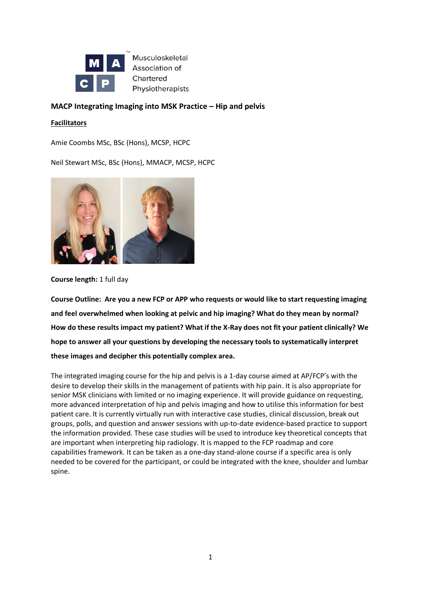

Musculoskeletal Association of Chartered Physiotherapists

# **MACP Integrating Imaging into MSK Practice – Hip and pelvis**

### **Facilitators**

Amie Coombs MSc, BSc (Hons), MCSP, HCPC

Neil Stewart MSc, BSc (Hons), MMACP, MCSP, HCPC



**Course length:** 1 full day

**Course Outline: Are you a new FCP or APP who requests or would like to start requesting imaging and feel overwhelmed when looking at pelvic and hip imaging? What do they mean by normal? How do these results impact my patient? What if the X-Ray does not fit your patient clinically? We hope to answer all your questions by developing the necessary tools to systematically interpret these images and decipher this potentially complex area.**

The integrated imaging course for the hip and pelvis is a 1-day course aimed at AP/FCP's with the desire to develop their skills in the management of patients with hip pain. It is also appropriate for senior MSK clinicians with limited or no imaging experience. It will provide guidance on requesting, more advanced interpretation of hip and pelvis imaging and how to utilise this information for best patient care. It is currently virtually run with interactive case studies, clinical discussion, break out groups, polls, and question and answer sessions with up-to-date evidence-based practice to support the information provided. These case studies will be used to introduce key theoretical concepts that are important when interpreting hip radiology. It is mapped to the FCP roadmap and core capabilities framework. It can be taken as a one-day stand-alone course if a specific area is only needed to be covered for the participant, or could be integrated with the knee, shoulder and lumbar spine.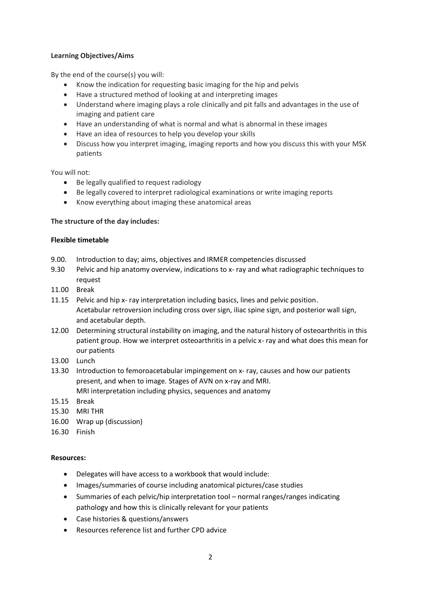# **Learning Objectives/Aims**

By the end of the course(s) you will:

- Know the indication for requesting basic imaging for the hip and pelvis
- Have a structured method of looking at and interpreting images
- Understand where imaging plays a role clinically and pit falls and advantages in the use of imaging and patient care
- Have an understanding of what is normal and what is abnormal in these images
- Have an idea of resources to help you develop your skills
- Discuss how you interpret imaging, imaging reports and how you discuss this with your MSK patients

You will not:

- Be legally qualified to request radiology
- Be legally covered to interpret radiological examinations or write imaging reports
- Know everything about imaging these anatomical areas

# **The structure of the day includes:**

### **Flexible timetable**

- 9.00. Introduction to day; aims, objectives and IRMER competencies discussed
- 9.30 Pelvic and hip anatomy overview, indications to x- ray and what radiographic techniques to request
- 11.00 Break
- 11.15 Pelvic and hip x- ray interpretation including basics, lines and pelvic position. Acetabular retroversion including cross over sign, iliac spine sign, and posterior wall sign, and acetabular depth.
- 12.00 Determining structural instability on imaging, and the natural history of osteoarthritis in this patient group. How we interpret osteoarthritis in a pelvic x- ray and what does this mean for our patients
- 13.00 Lunch
- 13.30 Introduction to femoroacetabular impingement on x- ray, causes and how our patients present, and when to image. Stages of AVN on x-ray and MRI. MRI interpretation including physics, sequences and anatomy
- 15.15 Break
- 15.30 MRI THR
- 16.00 Wrap up (discussion)
- 16.30 Finish

### **Resources:**

- Delegates will have access to a workbook that would include:
- Images/summaries of course including anatomical pictures/case studies
- Summaries of each pelvic/hip interpretation tool normal ranges/ranges indicating pathology and how this is clinically relevant for your patients
- Case histories & questions/answers
- Resources reference list and further CPD advice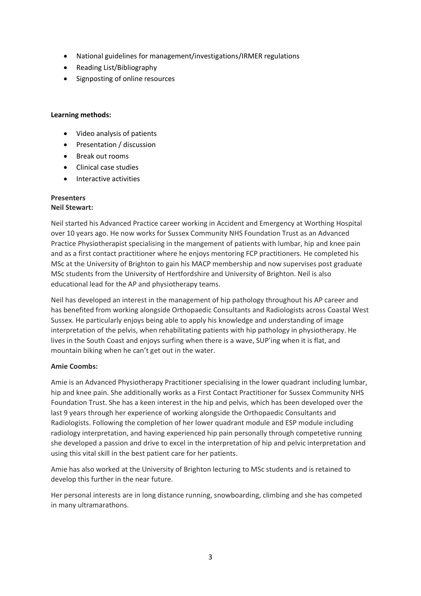- National guidelines for management/investigations/IRMER regulations
- Reading List/Bibliography
- Signposting of online resources

### **Learning methods:**

- Video analysis of patients
- Presentation / discussion
- Break out rooms
- Clinical case studies
- Interactive activities

#### **Presenters Neil Stewart:**

Neil started his Advanced Practice career working in Accident and Emergency at Worthing Hospital over 10 years ago. He now works for Sussex Community NHS Foundation Trust as an Advanced Practice Physiotherapist specialising in the mangement of patients with lumbar, hip and knee pain and as a first contact practitioner where he enjoys mentoring FCP practitioners. He completed his MSc at the University of Brighton to gain his MACP membership and now supervises post graduate MSc students from the University of Hertfordshire and University of Brighton. Neil is also educational lead for the AP and physiotherapy teams.

Neil has developed an interest in the management of hip pathology throughout his AP career and has benefited from working alongside Orthopaedic Consultants and Radiologists across Coastal West Sussex. He particularly enjoys being able to apply his knowledge and understanding of image interpretation of the pelvis, when rehabilitating patients with hip pathology in physiotherapy. He lives in the South Coast and enjoys surfing when there is a wave, SUP'ing when it is flat, and mountain biking when he can't get out in the water.

# **Amie Coombs:**

Amie is an Advanced Physiotherapy Practitioner specialising in the lower quadrant including lumbar, hip and knee pain. She additionally works as a First Contact Practitioner for Sussex Community NHS Foundation Trust. She has a keen interest in the hip and pelvis, which has been developed over the last 9 years through her experience of working alongside the Orthopaedic Consultants and Radiologists. Following the completion of her lower quadrant module and ESP module including radiology interpretation, and having experienced hip pain personally through competetive running she developed a passion and drive to excel in the interpretation of hip and pelvic interpretation and using this vital skill in the best patient care for her patients.

Amie has also worked at the University of Brighton lecturing to MSc students and is retained to develop this further in the near future.

Her personal interests are in long distance running, snowboarding, climbing and she has competed in many ultramarathons.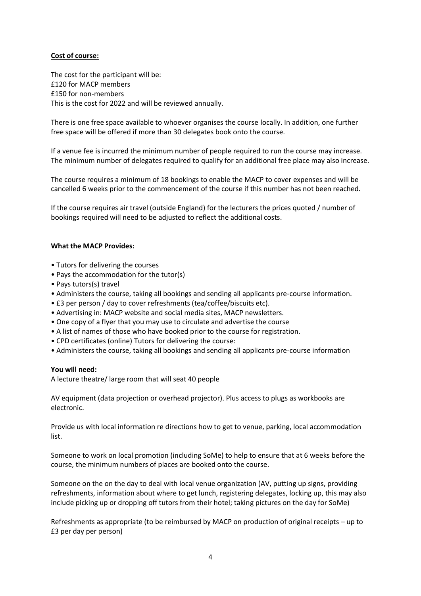# **Cost of course:**

The cost for the participant will be: £120 for MACP members £150 for non-members This is the cost for 2022 and will be reviewed annually.

There is one free space available to whoever organises the course locally. In addition, one further free space will be offered if more than 30 delegates book onto the course.

If a venue fee is incurred the minimum number of people required to run the course may increase. The minimum number of delegates required to qualify for an additional free place may also increase.

The course requires a minimum of 18 bookings to enable the MACP to cover expenses and will be cancelled 6 weeks prior to the commencement of the course if this number has not been reached.

If the course requires air travel (outside England) for the lecturers the prices quoted / number of bookings required will need to be adjusted to reflect the additional costs.

#### **What the MACP Provides:**

- Tutors for delivering the courses
- Pays the accommodation for the tutor(s)
- Pays tutors(s) travel
- Administers the course, taking all bookings and sending all applicants pre-course information.
- £3 per person / day to cover refreshments (tea/coffee/biscuits etc).
- Advertising in: MACP website and social media sites, MACP newsletters.
- One copy of a flyer that you may use to circulate and advertise the course
- A list of names of those who have booked prior to the course for registration.
- CPD certificates (online) Tutors for delivering the course:
- Administers the course, taking all bookings and sending all applicants pre-course information

#### **You will need:**

A lecture theatre/ large room that will seat 40 people

AV equipment (data projection or overhead projector). Plus access to plugs as workbooks are electronic.

Provide us with local information re directions how to get to venue, parking, local accommodation list.

Someone to work on local promotion (including SoMe) to help to ensure that at 6 weeks before the course, the minimum numbers of places are booked onto the course.

Someone on the on the day to deal with local venue organization (AV, putting up signs, providing refreshments, information about where to get lunch, registering delegates, locking up, this may also include picking up or dropping off tutors from their hotel; taking pictures on the day for SoMe)

Refreshments as appropriate (to be reimbursed by MACP on production of original receipts – up to £3 per day per person)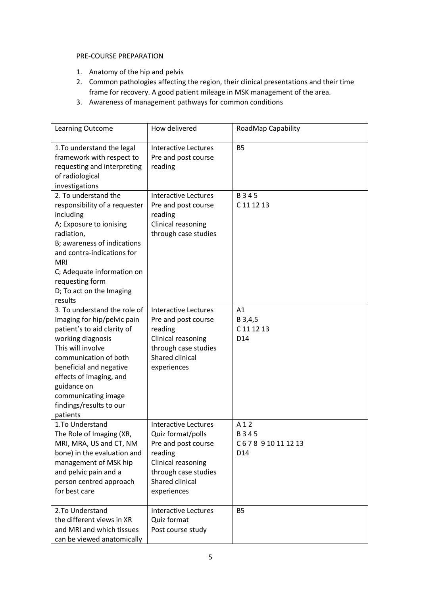### PRE-COURSE PREPARATION

- 1. Anatomy of the hip and pelvis
- 2. Common pathologies affecting the region, their clinical presentations and their time frame for recovery. A good patient mileage in MSK management of the area.
- 3. Awareness of management pathways for common conditions

| Learning Outcome                                                                                                                                                                                                                                                                                 | How delivered                                                                                                                                                      | RoadMap Capability                                |
|--------------------------------------------------------------------------------------------------------------------------------------------------------------------------------------------------------------------------------------------------------------------------------------------------|--------------------------------------------------------------------------------------------------------------------------------------------------------------------|---------------------------------------------------|
| 1. To understand the legal<br>framework with respect to<br>requesting and interpreting<br>of radiological<br>investigations                                                                                                                                                                      | <b>Interactive Lectures</b><br>Pre and post course<br>reading                                                                                                      | <b>B5</b>                                         |
| 2. To understand the<br>responsibility of a requester<br>including<br>A; Exposure to ionising<br>radiation,<br>B; awareness of indications<br>and contra-indications for<br><b>MRI</b><br>C; Adequate information on<br>requesting form<br>D; To act on the Imaging<br>results                   | <b>Interactive Lectures</b><br>Pre and post course<br>reading<br>Clinical reasoning<br>through case studies                                                        | B345<br>C 11 12 13                                |
| 3. To understand the role of<br>Imaging for hip/pelvic pain<br>patient's to aid clarity of<br>working diagnosis<br>This will involve<br>communication of both<br>beneficial and negative<br>effects of imaging, and<br>guidance on<br>communicating image<br>findings/results to our<br>patients | <b>Interactive Lectures</b><br>Pre and post course<br>reading<br>Clinical reasoning<br>through case studies<br>Shared clinical<br>experiences                      | A1<br>B 3,4,5<br>C 11 12 13<br>D14                |
| 1.To Understand<br>The Role of Imaging (XR,<br>MRI, MRA, US and CT, NM<br>bone) in the evaluation and<br>management of MSK hip<br>and pelvic pain and a<br>person centred approach<br>for best care                                                                                              | <b>Interactive Lectures</b><br>Quiz format/polls<br>Pre and post course<br>reading<br>Clinical reasoning<br>through case studies<br>Shared clinical<br>experiences | A 1 2<br>B345<br>C678910111213<br>D <sub>14</sub> |
| 2.To Understand<br>the different views in XR<br>and MRI and which tissues<br>can be viewed anatomically                                                                                                                                                                                          | <b>Interactive Lectures</b><br>Quiz format<br>Post course study                                                                                                    | <b>B5</b>                                         |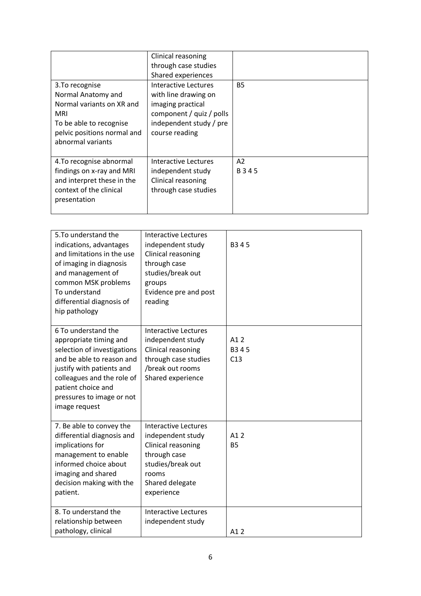|                                                                                                                                                          | Clinical reasoning<br>through case studies<br>Shared experiences                                                                           |               |
|----------------------------------------------------------------------------------------------------------------------------------------------------------|--------------------------------------------------------------------------------------------------------------------------------------------|---------------|
| 3. To recognise<br>Normal Anatomy and<br>Normal variants on XR and<br>MRI<br>To be able to recognise<br>pelvic positions normal and<br>abnormal variants | Interactive Lectures<br>with line drawing on<br>imaging practical<br>component / quiz / polls<br>independent study / pre<br>course reading | <b>B5</b>     |
| 4. To recognise abnormal<br>findings on x-ray and MRI<br>and interpret these in the<br>context of the clinical<br>presentation                           | Interactive Lectures<br>independent study<br>Clinical reasoning<br>through case studies                                                    | A2<br>B 3 4 5 |

| 5. To understand the<br>indications, advantages<br>and limitations in the use<br>of imaging in diagnosis<br>and management of<br>common MSK problems<br>To understand<br>differential diagnosis of<br>hip pathology                      | <b>Interactive Lectures</b><br>independent study<br>Clinical reasoning<br>through case<br>studies/break out<br>groups<br>Evidence pre and post<br>reading | B <sub>3</sub> 45   |
|------------------------------------------------------------------------------------------------------------------------------------------------------------------------------------------------------------------------------------------|-----------------------------------------------------------------------------------------------------------------------------------------------------------|---------------------|
| 6 To understand the<br>appropriate timing and<br>selection of investigations<br>and be able to reason and<br>justify with patients and<br>colleagues and the role of<br>patient choice and<br>pressures to image or not<br>image request | <b>Interactive Lectures</b><br>independent study<br>Clinical reasoning<br>through case studies<br>/break out rooms<br>Shared experience                   | A1 2<br>B345<br>C13 |
| 7. Be able to convey the<br>differential diagnosis and<br>implications for<br>management to enable<br>informed choice about<br>imaging and shared<br>decision making with the<br>patient.                                                | <b>Interactive Lectures</b><br>independent study<br>Clinical reasoning<br>through case<br>studies/break out<br>rooms<br>Shared delegate<br>experience     | A1 2<br><b>B5</b>   |
| 8. To understand the<br>relationship between<br>pathology, clinical                                                                                                                                                                      | <b>Interactive Lectures</b><br>independent study                                                                                                          | A1 2                |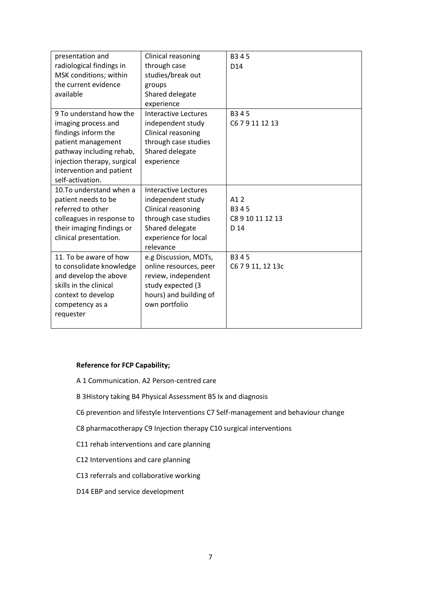| presentation and            | Clinical reasoning     | B345              |
|-----------------------------|------------------------|-------------------|
| radiological findings in    | through case           | D <sub>14</sub>   |
| MSK conditions; within      | studies/break out      |                   |
| the current evidence        | groups                 |                   |
| available                   | Shared delegate        |                   |
|                             | experience             |                   |
| 9 To understand how the     | Interactive Lectures   | B345              |
| imaging process and         | independent study      | C6 7 9 11 12 13   |
| findings inform the         | Clinical reasoning     |                   |
| patient management          | through case studies   |                   |
| pathway including rehab,    | Shared delegate        |                   |
| injection therapy, surgical | experience             |                   |
| intervention and patient    |                        |                   |
| self-activation.            |                        |                   |
| 10. To understand when a    | Interactive Lectures   |                   |
| patient needs to be         | independent study      | A1 2              |
| referred to other           | Clinical reasoning     | B <sub>3</sub> 45 |
| colleagues in response to   | through case studies   | C8 9 10 11 12 13  |
| their imaging findings or   | Shared delegate        | D 14              |
| clinical presentation.      | experience for local   |                   |
|                             | relevance              |                   |
| 11. To be aware of how      | e.g Discussion, MDTs,  | B345              |
| to consolidate knowledge    | online resources, peer | C6 7 9 11, 12 13c |
| and develop the above       | review, independent    |                   |
| skills in the clinical      | study expected (3      |                   |
| context to develop          | hours) and building of |                   |
| competency as a             | own portfolio          |                   |
| requester                   |                        |                   |
|                             |                        |                   |

# **Reference for FCP Capability;**

- A 1 Communication. A2 Person-centred care
- B 3History taking B4 Physical Assessment B5 Ix and diagnosis
- C6 prevention and lifestyle Interventions C7 Self-management and behaviour change
- C8 pharmacotherapy C9 Injection therapy C10 surgical interventions
- C11 rehab interventions and care planning
- C12 Interventions and care planning
- C13 referrals and collaborative working
- D14 EBP and service development